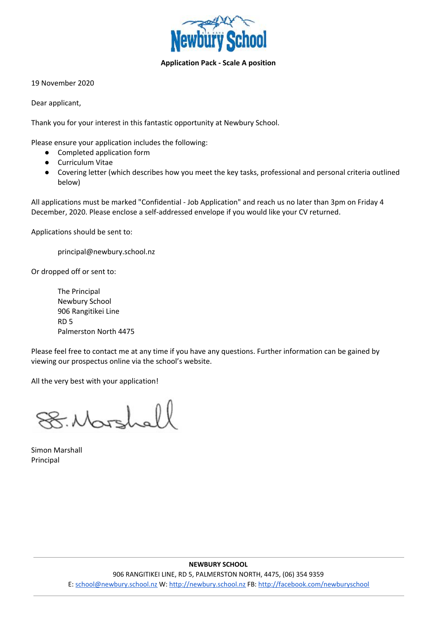

## **Application Pack - Scale A position**

19 November 2020

Dear applicant,

Thank you for your interest in this fantastic opportunity at Newbury School.

Please ensure your application includes the following:

- Completed application form
- Curriculum Vitae
- Covering letter (which describes how you meet the key tasks, professional and personal criteria outlined below)

All applications must be marked "Confidential - Job Application" and reach us no later than 3pm on Friday 4 December, 2020. Please enclose a self-addressed envelope if you would like your CV returned.

Applications should be sent to:

principal@newbury.school.nz

Or dropped off or sent to:

The Principal Newbury School 906 Rangitikei Line RD 5 Palmerston North 4475

Please feel free to contact me at any time if you have any questions. Further information can be gained by viewing our prospectus online via the school's website.

All the very best with your application!

8. Marshall

Simon Marshall Principal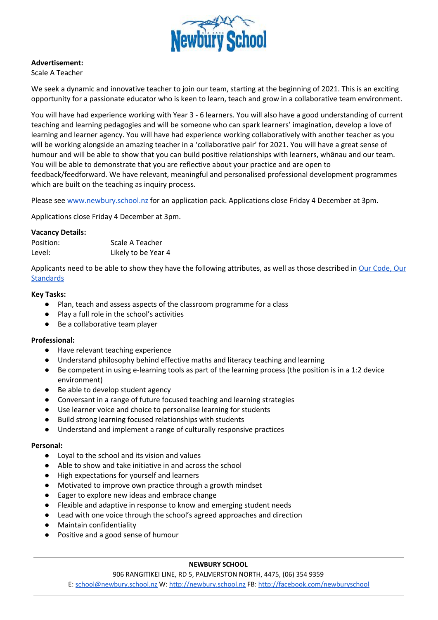

### **Advertisement:**

Scale A Teacher

We seek a dynamic and innovative teacher to join our team, starting at the beginning of 2021. This is an exciting opportunity for a passionate educator who is keen to learn, teach and grow in a collaborative team environment.

You will have had experience working with Year 3 - 6 learners. You will also have a good understanding of current teaching and learning pedagogies and will be someone who can spark learners' imagination, develop a love of learning and learner agency. You will have had experience working collaboratively with another teacher as you will be working alongside an amazing teacher in a 'collaborative pair' for 2021. You will have a great sense of humour and will be able to show that you can build positive relationships with learners, whānau and our team. You will be able to demonstrate that you are reflective about your practice and are open to feedback/feedforward. We have relevant, meaningful and personalised professional development programmes which are built on the teaching as inquiry process.

Please see [www.newbury.school.nz](http://www.newbury.school.nz/) for an application pack. Applications close Friday 4 December at 3pm.

Applications close Friday 4 December at 3pm.

### **Vacancy Details:**

| Position: | Scale A Teacher     |
|-----------|---------------------|
| Level:    | Likely to be Year 4 |

Applicants need to be able to show they have the following attributes, as well as those described in Our [Code,](https://educationcouncil.org.nz/content/our-code-our-standards) Our **[Standards](https://educationcouncil.org.nz/content/our-code-our-standards)** 

### **Key Tasks:**

- Plan, teach and assess aspects of the classroom programme for a class
- Play a full role in the school's activities
- Be a collaborative team player

### **Professional:**

- Have relevant teaching experience
- Understand philosophy behind effective maths and literacy teaching and learning
- Be competent in using e-learning tools as part of the learning process (the position is in a 1:2 device environment)
- Be able to develop student agency
- Conversant in a range of future focused teaching and learning strategies
- Use learner voice and choice to personalise learning for students
- Build strong learning focused relationships with students
- Understand and implement a range of culturally responsive practices

### **Personal:**

- Loyal to the school and its vision and values
- Able to show and take initiative in and across the school
- High expectations for yourself and learners
- Motivated to improve own practice through a growth mindset
- Eager to explore new ideas and embrace change
- Flexible and adaptive in response to know and emerging student needs
- Lead with one voice through the school's agreed approaches and direction
- **Maintain confidentiality**
- Positive and a good sense of humour

### **NEWBURY SCHOOL**

906 RANGITIKEI LINE, RD 5, PALMERSTON NORTH, 4475, (06) 354 9359

E: [school@newbury.school.nz](mailto:school@newbury.school.nz) W: [http://newbury.school.nz](http://newbury.school.nz/) FB: <http://facebook.com/newburyschool>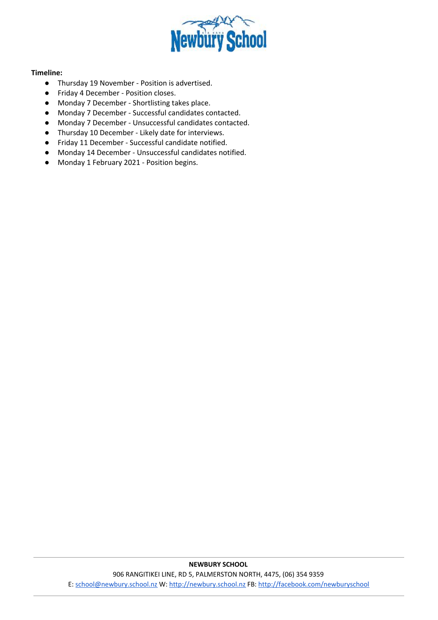

## **Timeline:**

- Thursday 19 November Position is advertised.
- Friday 4 December Position closes.
- Monday 7 December Shortlisting takes place.
- Monday 7 December Successful candidates contacted.
- Monday 7 December Unsuccessful candidates contacted.
- Thursday 10 December Likely date for interviews.
- Friday 11 December Successful candidate notified.
- Monday 14 December Unsuccessful candidates notified.
- Monday 1 February 2021 Position begins.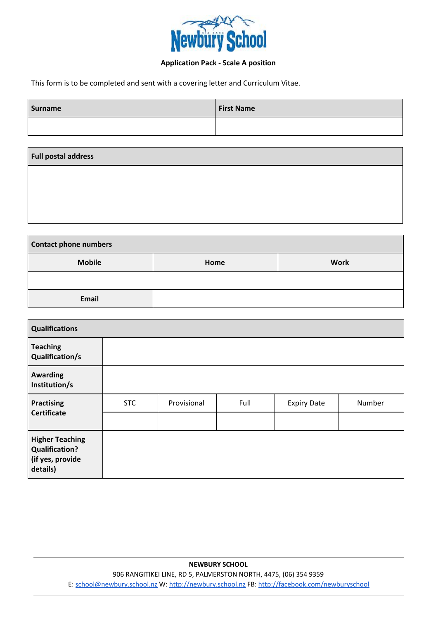

# **Application Pack - Scale A position**

This form is to be completed and sent with a covering letter and Curriculum Vitae.

| Surname | <b>First Name</b> |
|---------|-------------------|
|         |                   |
|         |                   |

| <b>Contact phone numbers</b> |      |             |  |  |
|------------------------------|------|-------------|--|--|
| <b>Mobile</b>                | Home | <b>Work</b> |  |  |
|                              |      |             |  |  |
| Email                        |      |             |  |  |

| <b>Qualifications</b>                                                           |            |             |      |                    |        |
|---------------------------------------------------------------------------------|------------|-------------|------|--------------------|--------|
| <b>Teaching</b><br><b>Qualification/s</b>                                       |            |             |      |                    |        |
| <b>Awarding</b><br>Institution/s                                                |            |             |      |                    |        |
| <b>Practising</b>                                                               | <b>STC</b> | Provisional | Full | <b>Expiry Date</b> | Number |
| <b>Certificate</b>                                                              |            |             |      |                    |        |
| <b>Higher Teaching</b><br><b>Qualification?</b><br>(if yes, provide<br>details) |            |             |      |                    |        |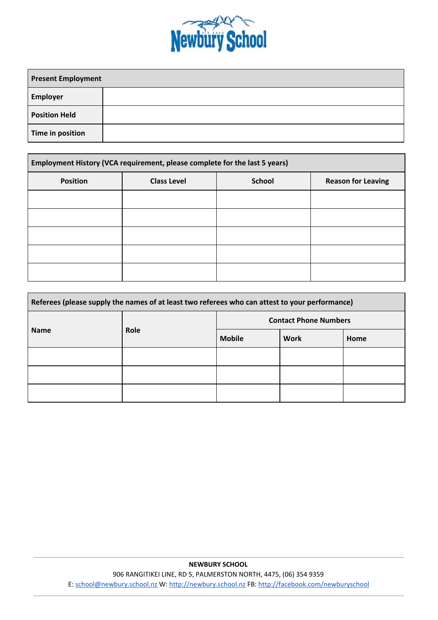

| <b>Present Employment</b> |  |
|---------------------------|--|
| <b>Employer</b>           |  |
| <b>Position Held</b>      |  |
| Time in position          |  |

| Employment History (VCA requirement, please complete for the last 5 years) |                    |               |                           |  |  |
|----------------------------------------------------------------------------|--------------------|---------------|---------------------------|--|--|
| <b>Position</b>                                                            | <b>Class Level</b> | <b>School</b> | <b>Reason for Leaving</b> |  |  |
|                                                                            |                    |               |                           |  |  |
|                                                                            |                    |               |                           |  |  |
|                                                                            |                    |               |                           |  |  |
|                                                                            |                    |               |                           |  |  |
|                                                                            |                    |               |                           |  |  |

| Referees (please supply the names of at least two referees who can attest to your performance) |      |                              |             |      |
|------------------------------------------------------------------------------------------------|------|------------------------------|-------------|------|
| <b>Name</b>                                                                                    | Role | <b>Contact Phone Numbers</b> |             |      |
|                                                                                                |      | <b>Mobile</b>                | <b>Work</b> | Home |
|                                                                                                |      |                              |             |      |
|                                                                                                |      |                              |             |      |
|                                                                                                |      |                              |             |      |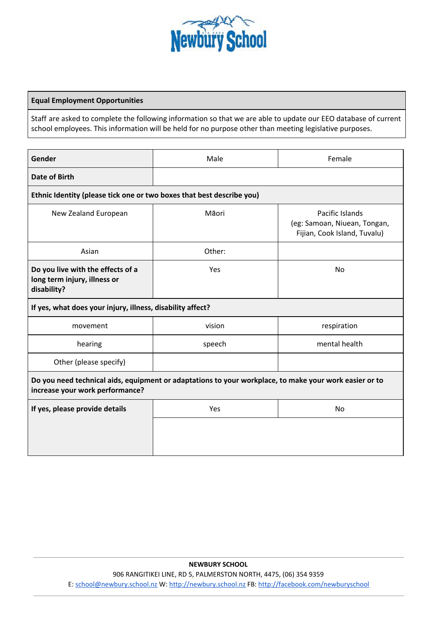

### **Equal Employment Opportunities**

Staff are asked to complete the following information so that we are able to update our EEO database of current school employees. This information will be held for no purpose other than meeting legislative purposes.

| Gender                                                                                                                                    | Male   | Female                                                                          |  |  |
|-------------------------------------------------------------------------------------------------------------------------------------------|--------|---------------------------------------------------------------------------------|--|--|
| <b>Date of Birth</b>                                                                                                                      |        |                                                                                 |  |  |
| Ethnic Identity (please tick one or two boxes that best describe you)                                                                     |        |                                                                                 |  |  |
| New Zealand European                                                                                                                      | Māori  | Pacific Islands<br>(eg: Samoan, Niuean, Tongan,<br>Fijian, Cook Island, Tuvalu) |  |  |
| Asian                                                                                                                                     | Other: |                                                                                 |  |  |
| Do you live with the effects of a<br>long term injury, illness or<br>disability?                                                          | Yes    | No                                                                              |  |  |
| If yes, what does your injury, illness, disability affect?                                                                                |        |                                                                                 |  |  |
| movement                                                                                                                                  | vision | respiration                                                                     |  |  |
| hearing                                                                                                                                   | speech | mental health                                                                   |  |  |
| Other (please specify)                                                                                                                    |        |                                                                                 |  |  |
| Do you need technical aids, equipment or adaptations to your workplace, to make your work easier or to<br>increase your work performance? |        |                                                                                 |  |  |
| If yes, please provide details                                                                                                            | Yes    | No                                                                              |  |  |
|                                                                                                                                           |        |                                                                                 |  |  |